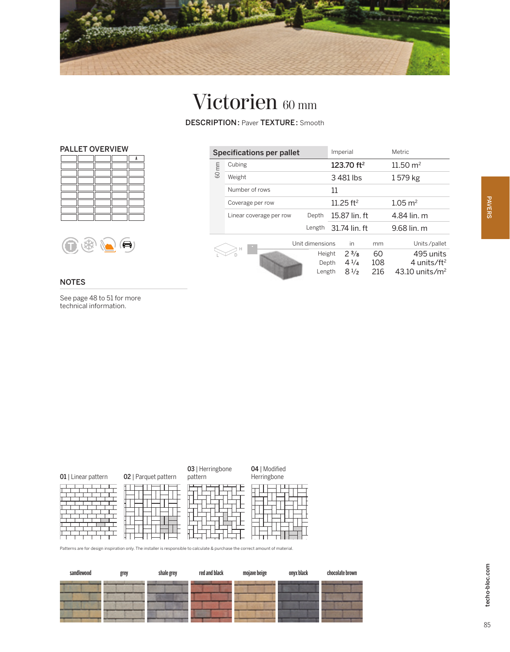

## Victorien 60 mm

DESCRIPTION: Paver TEXTURE: Smooth





## NOTES

See page 48 to 51 for more technical information.

| Specifications per pallet |                         |                           | Imperial               |                                          |                  | Metric                                                               |  |
|---------------------------|-------------------------|---------------------------|------------------------|------------------------------------------|------------------|----------------------------------------------------------------------|--|
| 60 mm                     | Cubing                  |                           | 123.70 ft <sup>2</sup> |                                          |                  | $11.50 \text{ m}^2$                                                  |  |
|                           | Weight                  |                           |                        | 3481 lbs                                 |                  | 1579 kg                                                              |  |
|                           | Number of rows          |                           |                        | 11                                       |                  |                                                                      |  |
|                           | Coverage per row        |                           |                        | $11.25$ ft <sup>2</sup>                  |                  | $1.05 \text{ m}^2$                                                   |  |
|                           | Linear coverage per row | Depth                     | 15.87 lin. ft          |                                          |                  | 4.84 lin. m                                                          |  |
|                           |                         | Length                    | 31.74 lin. ft          |                                          |                  | 9.68 lin. m                                                          |  |
|                           |                         | Unit dimensions           |                        | in                                       | mm               | Units/pallet                                                         |  |
| Н                         |                         | Height<br>Depth<br>Length |                        | $2^{3}/8$<br>$4^{1/4}$<br>$8\frac{1}{2}$ | 60<br>108<br>216 | 495 units<br>4 units/ft <sup>2</sup><br>$43.10$ units/m <sup>2</sup> |  |

|                                                                                                                             | 01   Linear pattern | 02   Parquet pattern | 03   Herringbone<br>pattern | 04   Modified<br>Herringbone |
|-----------------------------------------------------------------------------------------------------------------------------|---------------------|----------------------|-----------------------------|------------------------------|
| Delivery are freshwitered the first with The installer is associated to coloride 0 accepted the present service of material |                     |                      |                             |                              |

In only. The installer is responsible to calculate & purchase the correct an

| sandlewood | grey | shale grey | red and black | mojave beige | onyx black | chocolate brown |
|------------|------|------------|---------------|--------------|------------|-----------------|
|            |      |            |               |              |            |                 |
|            |      |            |               |              |            |                 |
|            |      |            |               |              |            |                 |